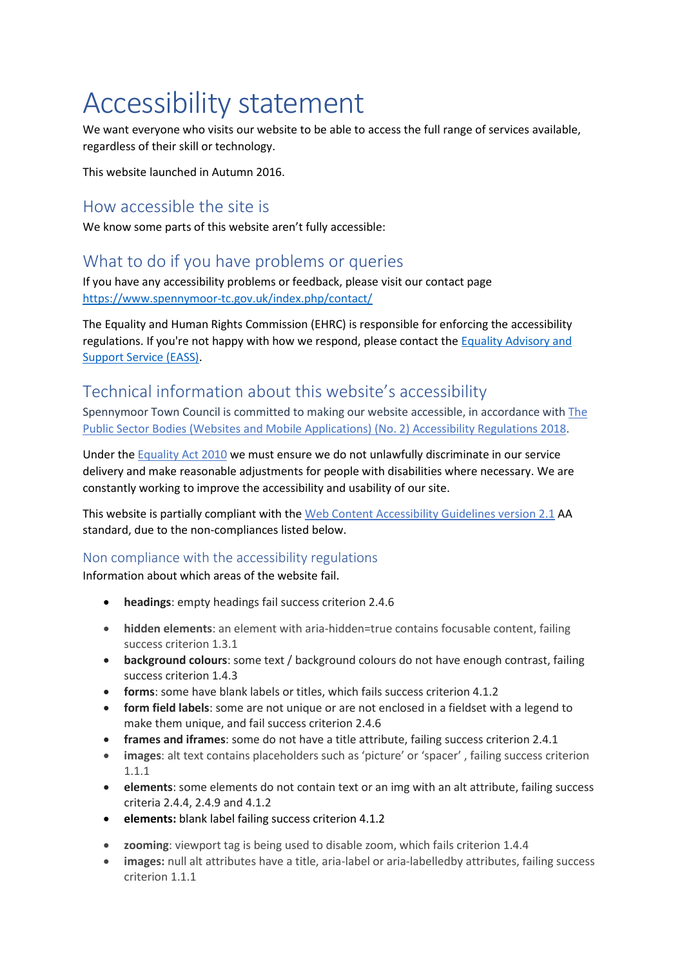# Accessibility statement

We want everyone who visits our website to be able to access the full range of services available, regardless of their skill or technology.

This website launched in Autumn 2016.

### How accessible the site is

We know some parts of this website aren't fully accessible:

## What to do if you have problems or queries

If you have any accessibility problems or feedback, please visit our contact page <https://www.spennymoor-tc.gov.uk/index.php/contact/>

The Equality and Human Rights Commission (EHRC) is responsible for enforcing the accessibility regulations. If you're not happy with how we respond, please contact th[e Equality Advisory and](https://www.equalityadvisoryservice.com/)  [Support Service \(EASS\).](https://www.equalityadvisoryservice.com/)

# Technical information about this website's accessibility

Spennymoor Town Council is committed to making our website accessible, in accordance with [The](http://www.legislation.gov.uk/uksi/2018/952/contents/made) Public Sector Bodies (Websites and Mobile [Applications\)](http://www.legislation.gov.uk/uksi/2018/952/contents/made) (No. 2) Accessibility Regulations 2018.

Under the [Equality](https://www.legislation.gov.uk/ukpga/2010/15/contents) Act 2010 we must ensure we do not unlawfully discriminate in our service delivery and make reasonable adjustments for people with disabilities where necessary. We are constantly working to improve the accessibility and usability of our site.

This website is partially compliant with the [Web Content Accessibility Guidelines version 2.1](https://www.w3.org/TR/WCAG21/) AA standard, due to the non-compliances listed below.

#### Non compliance with the accessibility regulations

Information about which areas of the website fail.

- **headings**: empty headings fail success criterion 2.4.6
- **hidden elements**: an element with aria-hidden=true contains focusable content, failing success criterion 1.3.1
- **background colours**: some text / background colours do not have enough contrast, failing success criterion 1.4.3
- **forms**: some have blank labels or titles, which fails success criterion 4.1.2
- **form field labels**: some are not unique or are not enclosed in a fieldset with a legend to make them unique, and fail success criterion 2.4.6
- **frames and iframes**: some do not have a title attribute, failing success criterion 2.4.1
- **images**: alt text contains placeholders such as 'picture' or 'spacer' , failing success criterion 1.1.1
- **elements**: some elements do not contain text or an img with an alt attribute, failing success criteria 2.4.4, 2.4.9 and 4.1.2
- **elements:** blank label failing success criterion 4.1.2
- **zooming**: viewport tag is being used to disable zoom, which fails criterion 1.4.4
- **images:** null alt attributes have a title, aria-label or aria-labelledby attributes, failing success criterion 1.1.1